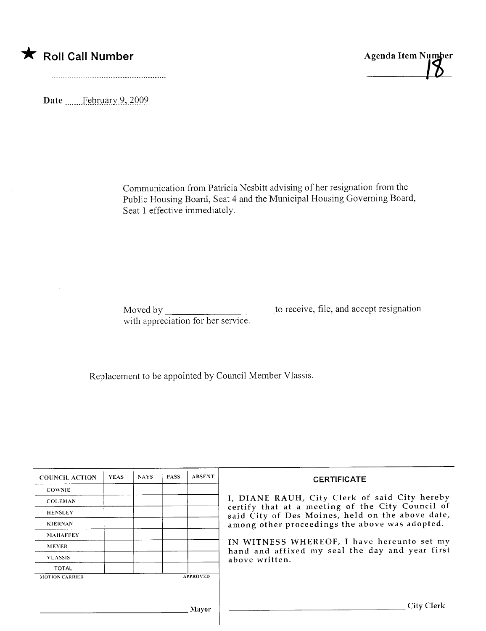



Date .\_\_..\_\_f~Qr.l.il.ly9.,-tQQ9

Communication from Patricia Nesbitt advising of her resignation from the Public Housing Board, Seat 4 and the Municipal Housing Governing Board, Seat 1 effective immediately.

Moved by \_\_\_\_\_\_\_\_\_\_\_\_\_\_\_\_\_\_\_\_\_\_\_\_\_\_\_\_\_\_to receive, file, and accept resignation with appreciation for her service.

Replacement to be appointed by Council Member Vlassis.

| <b>COUNCIL ACTION</b> | <b>YEAS</b> | <b>NAYS</b> | <b>PASS</b> | <b>ABSENT</b>   | <b>CERTIFICATE</b>                                                                                                                                                                                                                                                                                                         |
|-----------------------|-------------|-------------|-------------|-----------------|----------------------------------------------------------------------------------------------------------------------------------------------------------------------------------------------------------------------------------------------------------------------------------------------------------------------------|
| <b>COWNIE</b>         |             |             |             |                 | I, DIANE RAUH, City Clerk of said City hereby<br>certify that at a meeting of the City Council of<br>said City of Des Moines, held on the above date,<br>among other proceedings the above was adopted.<br>IN WITNESS WHEREOF, I have hereunto set my<br>hand and affixed my seal the day and year first<br>above written. |
| <b>COLEMAN</b>        |             |             |             |                 |                                                                                                                                                                                                                                                                                                                            |
| <b>HENSLEY</b>        |             |             |             |                 |                                                                                                                                                                                                                                                                                                                            |
| <b>KIERNAN</b>        |             |             |             |                 |                                                                                                                                                                                                                                                                                                                            |
| <b>MAHAFFEY</b>       |             |             |             |                 |                                                                                                                                                                                                                                                                                                                            |
| <b>MEYER</b>          |             |             |             |                 |                                                                                                                                                                                                                                                                                                                            |
| <b>VLASSIS</b>        |             |             |             |                 |                                                                                                                                                                                                                                                                                                                            |
| <b>TOTAL</b>          |             |             |             |                 |                                                                                                                                                                                                                                                                                                                            |
| <b>MOTION CARRIED</b> |             |             |             | <b>APPROVED</b> |                                                                                                                                                                                                                                                                                                                            |
|                       |             |             |             |                 |                                                                                                                                                                                                                                                                                                                            |
| Mayor                 |             |             |             |                 | City Clerk                                                                                                                                                                                                                                                                                                                 |